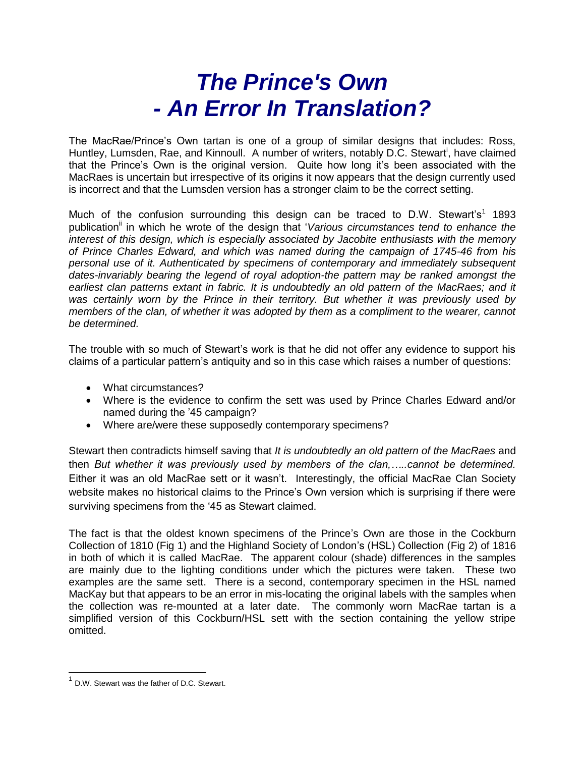## *The Prince's Own - An Error In Translation?*

The MacRae/Prince's Own tartan is one of a group of similar designs that includes: Ross, Huntley, Lumsden, Rae, and Kinnoull. A number of writers, notably D.C. Stewart<sup>i</sup>, have claimed that the Prince's Own is the original version. Quite how long it's been associated with the MacRaes is uncertain but irrespective of its origins it now appears that the design currently used is incorrect and that the Lumsden version has a stronger claim to be the correct setting.

Much of the confusion surrounding this design can be traced to D.W. Stewart's<sup>1</sup> 1893 publication<sup>"</sup> in which he wrote of the design that '*Various circumstances tend to enhance the interest of this design, which is especially associated by Jacobite enthusiasts with the memory of Prince Charles Edward, and which was named during the campaign of 1745-46 from his personal use of it. Authenticated by specimens of contemporary and immediately subsequent dates-invariably bearing the legend of royal adoption-the pattern may be ranked amongst the earliest clan patterns extant in fabric. It is undoubtedly an old pattern of the MacRaes; and it was certainly worn by the Prince in their territory. But whether it was previously used by members of the clan, of whether it was adopted by them as a compliment to the wearer, cannot be determined.* 

The trouble with so much of Stewart's work is that he did not offer any evidence to support his claims of a particular pattern's antiquity and so in this case which raises a number of questions:

- What circumstances?
- Where is the evidence to confirm the sett was used by Prince Charles Edward and/or named during the '45 campaign?
- Where are/were these supposedly contemporary specimens?

Stewart then contradicts himself saving that *It is undoubtedly an old pattern of the MacRaes* and then *But whether it was previously used by members of the clan,…..cannot be determined.* Either it was an old MacRae sett or it wasn't. Interestingly, the official MacRae Clan Society website makes no historical claims to the Prince's Own version which is surprising if there were surviving specimens from the '45 as Stewart claimed.

The fact is that the oldest known specimens of the Prince's Own are those in the Cockburn Collection of 1810 (Fig 1) and the Highland Society of London's (HSL) Collection (Fig 2) of 1816 in both of which it is called MacRae. The apparent colour (shade) differences in the samples are mainly due to the lighting conditions under which the pictures were taken. These two examples are the same sett. There is a second, contemporary specimen in the HSL named MacKay but that appears to be an error in mis-locating the original labels with the samples when the collection was re-mounted at a later date. The commonly worn MacRae tartan is a simplified version of this Cockburn/HSL sett with the section containing the yellow stripe omitted.

 $1$  D.W. Stewart was the father of D.C. Stewart.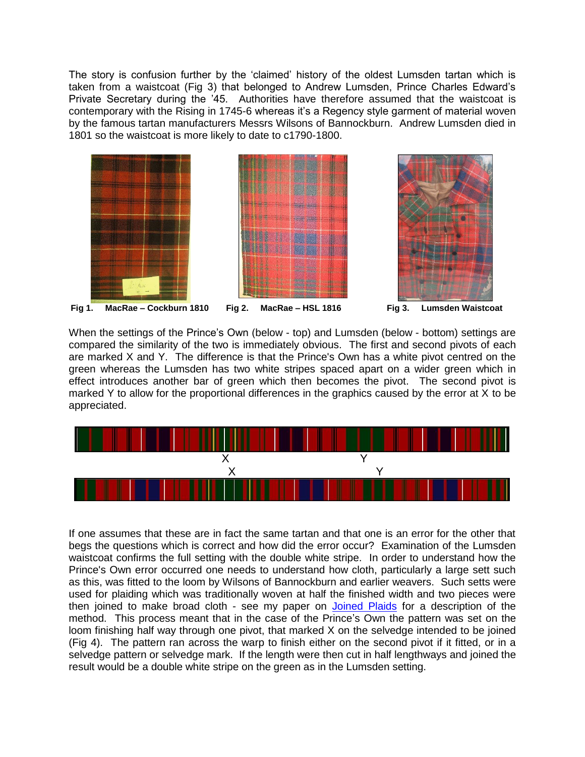The story is confusion further by the 'claimed' history of the oldest Lumsden tartan which is taken from a waistcoat (Fig 3) that belonged to Andrew Lumsden, Prince Charles Edward's Private Secretary during the '45. Authorities have therefore assumed that the waistcoat is contemporary with the Rising in 1745-6 whereas it's a Regency style garment of material woven by the famous tartan manufacturers Messrs Wilsons of Bannockburn. Andrew Lumsden died in 1801 so the waistcoat is more likely to date to c1790-1800.



When the settings of the Prince's Own (below - top) and Lumsden (below - bottom) settings are compared the similarity of the two is immediately obvious. The first and second pivots of each are marked X and Y. The difference is that the Prince's Own has a white pivot centred on the green whereas the Lumsden has two white stripes spaced apart on a wider green which in effect introduces another bar of green which then becomes the pivot. The second pivot is marked Y to allow for the proportional differences in the graphics caused by the error at X to be appreciated.



If one assumes that these are in fact the same tartan and that one is an error for the other that begs the questions which is correct and how did the error occur? Examination of the Lumsden waistcoat confirms the full setting with the double white stripe. In order to understand how the Prince's Own error occurred one needs to understand how cloth, particularly a large sett such as this, was fitted to the loom by Wilsons of Bannockburn and earlier weavers. Such setts were used for plaiding which was traditionally woven at half the finished width and two pieces were then joined to make broad cloth - see my paper on [Joined](http://www.scottishtartans.co.uk/Joined_Plaids.pdf) Plaids for a description of the method. This process meant that in the case of the Prince's Own the pattern was set on the loom finishing half way through one pivot, that marked X on the selvedge intended to be joined (Fig 4). The pattern ran across the warp to finish either on the second pivot if it fitted, or in a selvedge pattern or selvedge mark. If the length were then cut in half lengthways and joined the result would be a double white stripe on the green as in the Lumsden setting.